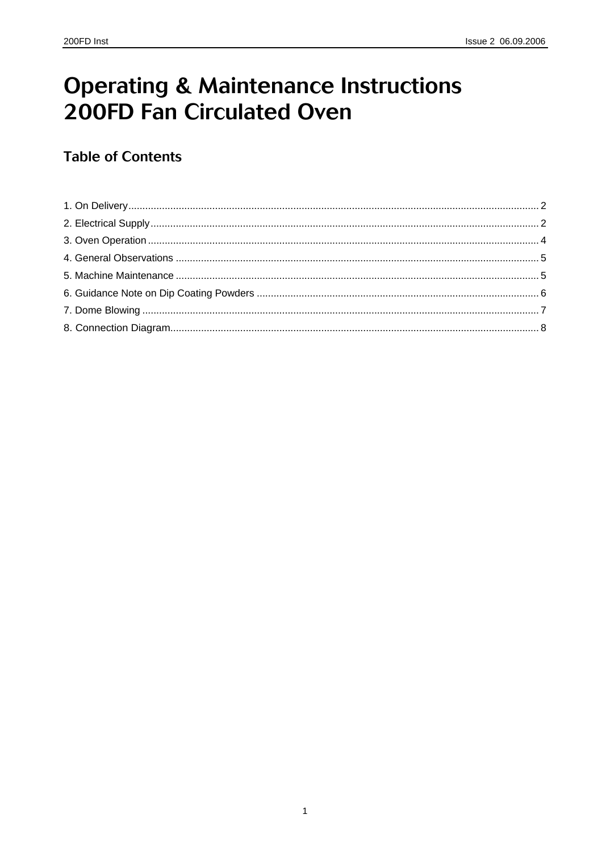# **Operating & Maintenance Instructions 200FD Fan Circulated Oven**

### **Table of Contents**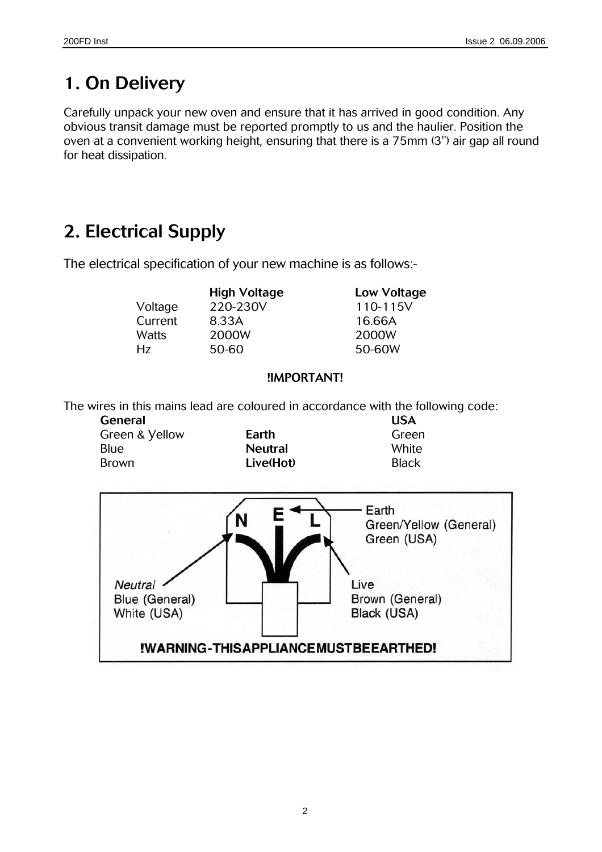### **1. On Delivery**

Carefully unpack your new oven and ensure that it has arrived in good condition. Any obvious transit damage must be reported promptly to us and the haulier. Position the oven at a convenient working height, ensuring that there is a 75mm (3") air gap all round for heat dissipation.

### **2. Electrical Supply**

The electrical specification of your new machine is as follows:-

|         | <b>High Voltage</b> | <b>Low Vol</b> |
|---------|---------------------|----------------|
| Voltage | 220-230V            | $110 - 11$     |
| Current | 8.33A               | 16.66A         |
| Watts   | 2000W               | 2000W          |
| Нz      | 50-60               | 50-60W         |
|         |                     |                |

**High Voltage Low Voltage**  220-230V 110-115V 8.33A 16.66A Hz 50-60 50-60W

#### **!IMPORTANT!**

The wires in this mains lead are coloured in accordance with the following code:

| General        |                | <b>USA</b>   |
|----------------|----------------|--------------|
| Green & Vellow | Earth          | Green        |
| Blue           | <b>Neutral</b> | White        |
| <b>Brown</b>   | Live(Hot)      | <b>Black</b> |

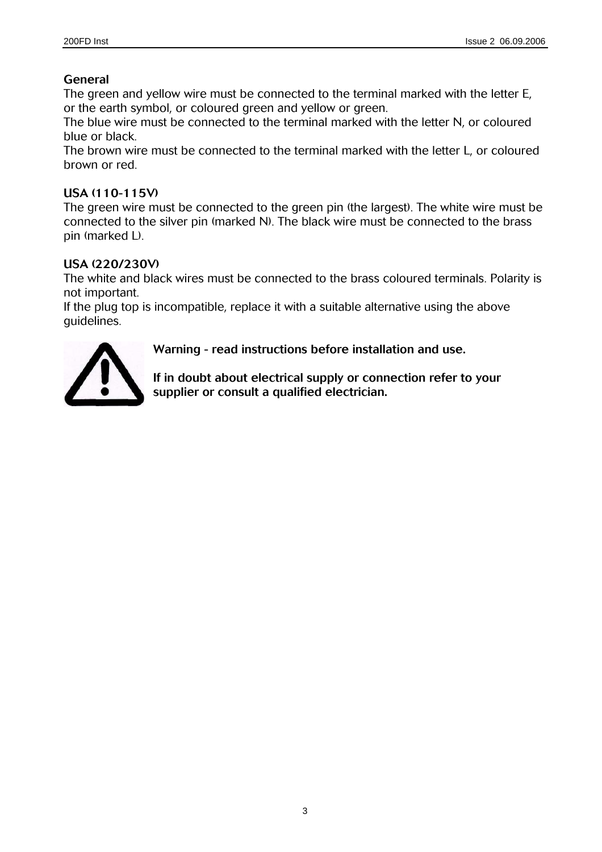#### **General**

The green and yellow wire must be connected to the terminal marked with the letter E, or the earth symbol, or coloured green and yellow or green.

The blue wire must be connected to the terminal marked with the letter N, or coloured blue or black.

The brown wire must be connected to the terminal marked with the letter L, or coloured brown or red.

#### **USA (110-115V)**

The green wire must be connected to the green pin (the largest). The white wire must be connected to the silver pin (marked N). The black wire must be connected to the brass pin (marked L).

#### **USA (220/230V)**

The white and black wires must be connected to the brass coloured terminals. Polarity is not important.

If the plug top is incompatible, replace it with a suitable alternative using the above guidelines.



**Warning - read instructions before installation and use.** 

**If in doubt about electrical supply or connection refer to your supplier or consult a qualified electrician.**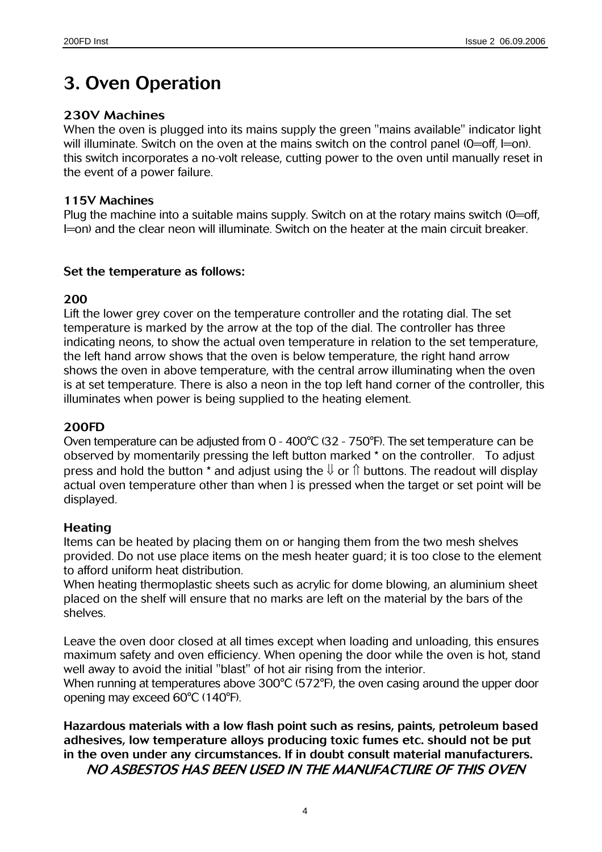### **3. Oven Operation**

#### **230V Machines**

When the oven is plugged into its mains supply the green "mains available" indicator light will illuminate. Switch on the oven at the mains switch on the control panel (0=off, l=on). this switch incorporates a no-volt release, cutting power to the oven until manually reset in the event of a power failure.

#### **115V Machines**

Plug the machine into a suitable mains supply. Switch on at the rotary mains switch (0=off, I=on) and the clear neon will illuminate. Switch on the heater at the main circuit breaker.

#### **Set the temperature as follows:**

#### **200**

Lift the lower grey cover on the temperature controller and the rotating dial. The set temperature is marked by the arrow at the top of the dial. The controller has three indicating neons, to show the actual oven temperature in relation to the set temperature, the left hand arrow shows that the oven is below temperature, the right hand arrow shows the oven in above temperature, with the central arrow illuminating when the oven is at set temperature. There is also a neon in the top left hand corner of the controller, this illuminates when power is being supplied to the heating element.

#### **200FD**

Oven temperature can be adjusted from 0 - 400°C (32 - 750°F). The set temperature can be observed by momentarily pressing the left button marked \* on the controller. To adjust press and hold the button \* and adjust using the  $\Downarrow$  or  $\Uparrow$  buttons. The readout will display actual oven temperature other than when I is pressed when the target or set point will be displayed.

#### **Heating**

Items can be heated by placing them on or hanging them from the two mesh shelves provided. Do not use place items on the mesh heater guard; it is too close to the element to afford uniform heat distribution.

When heating thermoplastic sheets such as acrylic for dome blowing, an aluminium sheet placed on the shelf will ensure that no marks are left on the material by the bars of the shelves.

Leave the oven door closed at all times except when loading and unloading, this ensures maximum safety and oven efficiency. When opening the door while the oven is hot, stand well away to avoid the initial "blast" of hot air rising from the interior.

When running at temperatures above 300°C (572°F), the oven casing around the upper door opening may exceed 60°C (140°F).

**Hazardous materials with a low flash point such as resins, paints, petroleum based adhesives, low temperature alloys producing toxic fumes etc. should not be put in the oven under any circumstances. If in doubt consult material manufacturers.**

**NO ASBESTOS HAS BEEN USED IN THE MANUFACTURE OF THIS OVEN**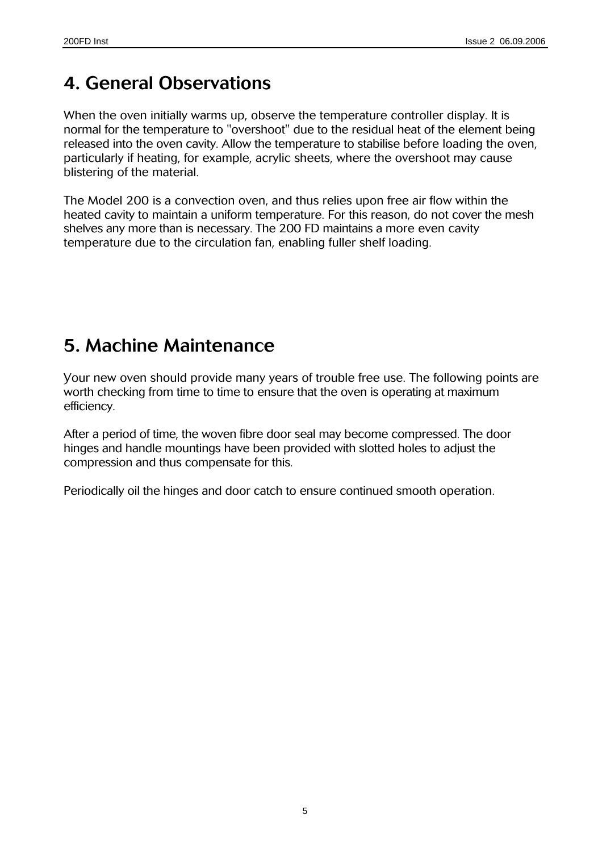### **4. General Observations**

When the oven initially warms up, observe the temperature controller display. It is normal for the temperature to "overshoot" due to the residual heat of the element being released into the oven cavity. Allow the temperature to stabilise before loading the oven, particularly if heating, for example, acrylic sheets, where the overshoot may cause blistering of the material.

The Model 200 is a convection oven, and thus relies upon free air flow within the heated cavity to maintain a uniform temperature. For this reason, do not cover the mesh shelves any more than is necessary. The 200 FD maintains a more even cavity temperature due to the circulation fan, enabling fuller shelf loading.

### **5. Machine Maintenance**

Your new oven should provide many years of trouble free use. The following points are worth checking from time to time to ensure that the oven is operating at maximum efficiency.

After a period of time, the woven fibre door seal may become compressed. The door hinges and handle mountings have been provided with slotted holes to adjust the compression and thus compensate for this.

Periodically oil the hinges and door catch to ensure continued smooth operation.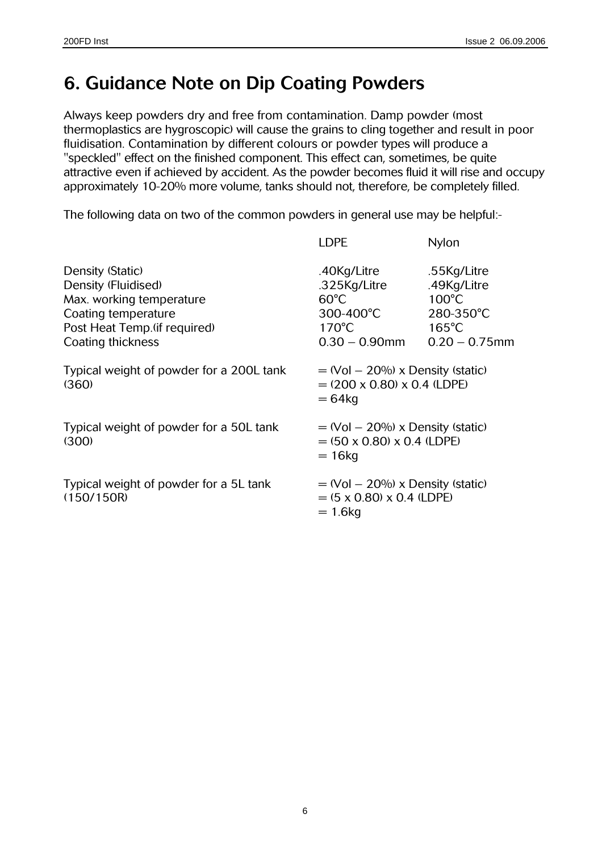### **6. Guidance Note on Dip Coating Powders**

Always keep powders dry and free from contamination. Damp powder (most thermoplastics are hygroscopic) will cause the grains to cling together and result in poor fluidisation. Contamination by different colours or powder types will produce a "speckled" effect on the finished component. This effect can, sometimes, be quite attractive even if achieved by accident. As the powder becomes fluid it will rise and occupy approximately 10-20% more volume, tanks should not, therefore, be completely filled.

The following data on two of the common powders in general use may be helpful:-

|                                                                                                                                                  | <b>LDPE</b>                                                                                       | Nylon                                                                                             |
|--------------------------------------------------------------------------------------------------------------------------------------------------|---------------------------------------------------------------------------------------------------|---------------------------------------------------------------------------------------------------|
| Density (Static)<br>Density (Fluidised)<br>Max. working temperature<br>Coating temperature<br>Post Heat Temp. (if required)<br>Coating thickness | .40Kg/Litre<br>.325Kg/Litre<br>$60^{\circ}$ C<br>300-400°C<br>$170^{\circ}$ C<br>$0.30 - 0.90$ mm | .55Kg/Litre<br>.49Kg/Litre<br>$100^{\circ}$ C<br>280-350°C<br>$165^{\circ}$ C<br>$0.20 - 0.75$ mm |
| Typical weight of powder for a 200L tank<br>(360)                                                                                                | $=$ (Vol $-$ 20%) x Density (static)<br>$= (200 \times 0.80) \times 0.4$ (LDPE)<br>$= 64$ kg      |                                                                                                   |
| Typical weight of powder for a 50L tank<br>(300)                                                                                                 | $=$ (Vol $-$ 20%) x Density (static)<br>$= (50 \times 0.80) \times 0.4$ (LDPE)<br>$= 16$ kg       |                                                                                                   |
| Typical weight of powder for a 5L tank<br>(150/150R)                                                                                             | $=$ (Vol $-$ 20%) x Density (static)<br>$= (5 \times 0.80) \times 0.4$ (LDPE)<br>$= 1.6$ kg       |                                                                                                   |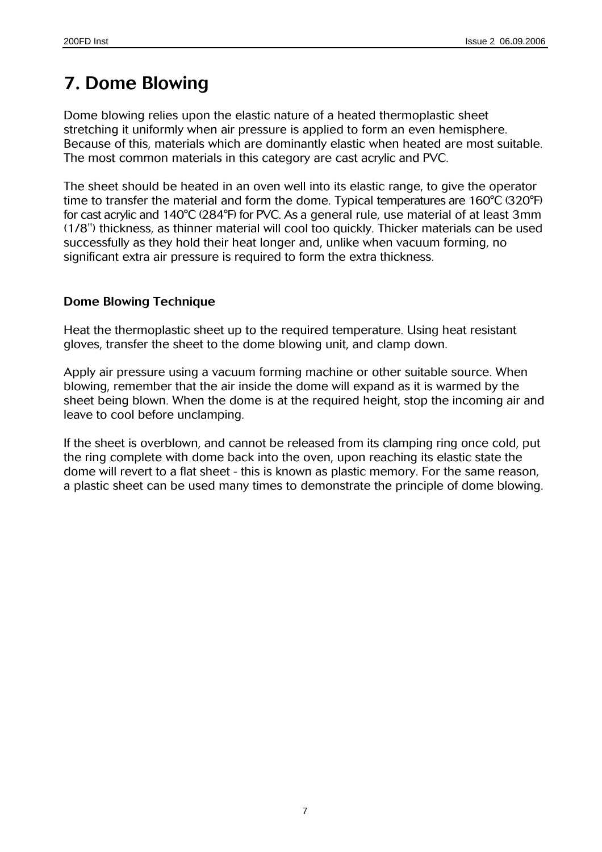### **7. Dome Blowing**

Dome blowing relies upon the elastic nature of a heated thermoplastic sheet stretching it uniformly when air pressure is applied to form an even hemisphere. Because of this, materials which are dominantly elastic when heated are most suitable. The most common materials in this category are cast acrylic and PVC.

The sheet should be heated in an oven well into its elastic range, to give the operator time to transfer the material and form the dome. Typical temperatures are 160°C (320°F) for cast acrylic and 140°C (284°F) for PVC. As a general rule, use material of at least 3mm (1/8") thickness, as thinner material will cool too quickly. Thicker materials can be used successfully as they hold their heat longer and, unlike when vacuum forming, no significant extra air pressure is required to form the extra thickness.

#### **Dome Blowing Technique**

Heat the thermoplastic sheet up to the required temperature. Using heat resistant gloves, transfer the sheet to the dome blowing unit, and clamp down.

Apply air pressure using a vacuum forming machine or other suitable source. When blowing, remember that the air inside the dome will expand as it is warmed by the sheet being blown. When the dome is at the required height, stop the incoming air and leave to cool before unclamping.

If the sheet is overblown, and cannot be released from its clamping ring once cold, put the ring complete with dome back into the oven, upon reaching its elastic state the dome will revert to a flat sheet - this is known as plastic memory. For the same reason, a plastic sheet can be used many times to demonstrate the principle of dome blowing.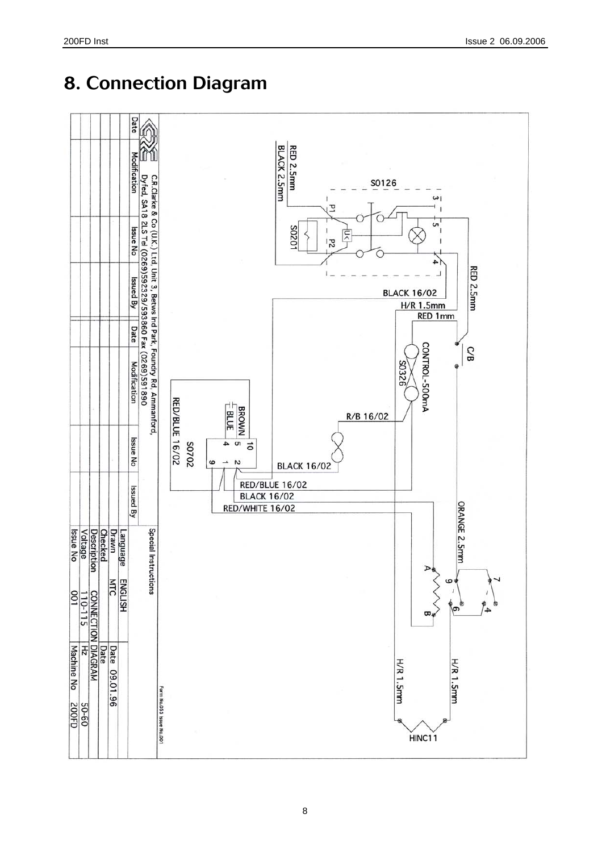

## **8. Connection Diagram**